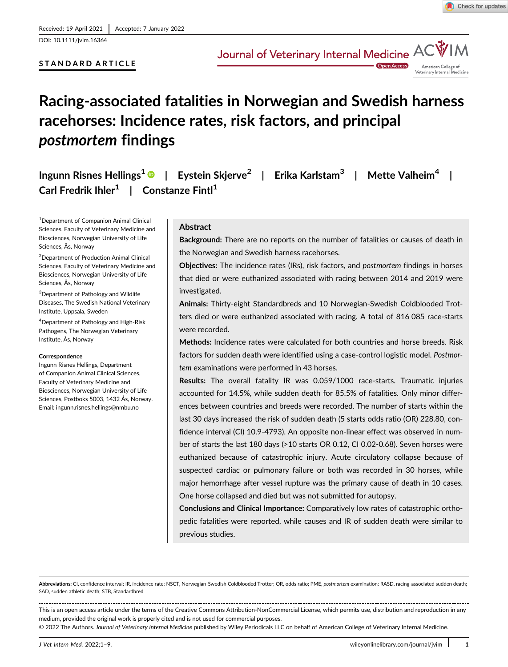DOI: 10.1111/jvim.16364

# STANDARD ARTICLE



# Racing-associated fatalities in Norwegian and Swedish harness racehorses: Incidence rates, risk factors, and principal postmortem findings

Ingunn Risnes Hellings<sup>1</sup>  $\bullet$  | Eystein Skjerve<sup>2</sup> | Erika Karlstam<sup>3</sup> | Mette Valheim<sup>4</sup> | Carl Fredrik Ihler<sup>1</sup> | Constanze Fintl<sup>1</sup>

1 Department of Companion Animal Clinical Sciences, Faculty of Veterinary Medicine and Biosciences, Norwegian University of Life Sciences, Ås, Norway

2 Department of Production Animal Clinical Sciences, Faculty of Veterinary Medicine and Biosciences, Norwegian University of Life Sciences, Ås, Norway

<sup>3</sup>Department of Pathology and Wildlife Diseases, The Swedish National Veterinary Institute, Uppsala, Sweden

4 Department of Pathology and High-Risk Pathogens, The Norwegian Veterinary Institute, Ås, Norway

#### **Correspondence**

Ingunn Risnes Hellings, Department of Companion Animal Clinical Sciences, Faculty of Veterinary Medicine and Biosciences, Norwegian University of Life Sciences, Postboks 5003, 1432 Ås, Norway. Email: [ingunn.risnes.hellings@nmbu.no](mailto:ingunn.risnes.hellings@nmbu.no)

# Abstract

Background: There are no reports on the number of fatalities or causes of death in the Norwegian and Swedish harness racehorses.

Objectives: The incidence rates (IRs), risk factors, and postmortem findings in horses that died or were euthanized associated with racing between 2014 and 2019 were investigated.

Animals: Thirty-eight Standardbreds and 10 Norwegian-Swedish Coldblooded Trotters died or were euthanized associated with racing. A total of 816 085 race-starts were recorded.

Methods: Incidence rates were calculated for both countries and horse breeds. Risk factors for sudden death were identified using a case-control logistic model. Postmortem examinations were performed in 43 horses.

Results: The overall fatality IR was 0.059/1000 race-starts. Traumatic injuries accounted for 14.5%, while sudden death for 85.5% of fatalities. Only minor differences between countries and breeds were recorded. The number of starts within the last 30 days increased the risk of sudden death (5 starts odds ratio (OR) 228.80, confidence interval (CI) 10.9-4793). An opposite non-linear effect was observed in number of starts the last 180 days (>10 starts OR 0.12, CI 0.02-0.68). Seven horses were euthanized because of catastrophic injury. Acute circulatory collapse because of suspected cardiac or pulmonary failure or both was recorded in 30 horses, while major hemorrhage after vessel rupture was the primary cause of death in 10 cases. One horse collapsed and died but was not submitted for autopsy.

Conclusions and Clinical Importance: Comparatively low rates of catastrophic orthopedic fatalities were reported, while causes and IR of sudden death were similar to previous studies.

© 2022 The Authors. Journal of Veterinary Internal Medicine published by Wiley Periodicals LLC on behalf of American College of Veterinary Internal Medicine.

Abbreviations: CI, confidence interval; IR, incidence rate; NSCT, Norwegian-Swedish Coldblooded Trotter; OR, odds ratio; PME, postmortem examination; RASD, racing-associated sudden death; SAD, sudden athletic death; STB, Standardbred.

This is an open access article under the terms of the [Creative Commons Attribution-NonCommercial](http://creativecommons.org/licenses/by-nc/4.0/) License, which permits use, distribution and reproduction in any medium, provided the original work is properly cited and is not used for commercial purposes.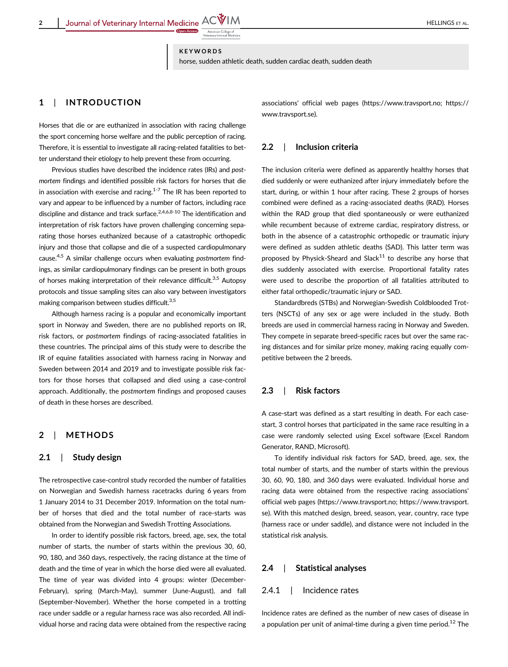**KEYWORDS** 

horse, sudden athletic death, sudden cardiac death, sudden death

# 1 | INTRODUCTION

Horses that die or are euthanized in association with racing challenge the sport concerning horse welfare and the public perception of racing. Therefore, it is essential to investigate all racing-related fatalities to better understand their etiology to help prevent these from occurring.

Previous studies have described the incidence rates (IRs) and postmortem findings and identified possible risk factors for horses that die in association with exercise and racing. $1-7$  The IR has been reported to vary and appear to be influenced by a number of factors, including race discipline and distance and track surface.<sup>2,4,6,8-10</sup> The identification and interpretation of risk factors have proven challenging concerning separating those horses euthanized because of a catastrophic orthopedic injury and those that collapse and die of a suspected cardiopulmonary cause.<sup>4,5</sup> A similar challenge occurs when evaluating postmortem findings, as similar cardiopulmonary findings can be present in both groups of horses making interpretation of their relevance difficult.<sup>3,5</sup> Autopsy protocols and tissue sampling sites can also vary between investigators making comparison between studies difficult.<sup>3,5</sup>

Although harness racing is a popular and economically important sport in Norway and Sweden, there are no published reports on IR, risk factors, or postmortem findings of racing-associated fatalities in these countries. The principal aims of this study were to describe the IR of equine fatalities associated with harness racing in Norway and Sweden between 2014 and 2019 and to investigate possible risk factors for those horses that collapsed and died using a case-control approach. Additionally, the postmortem findings and proposed causes of death in these horses are described.

## 2 | METHODS

## 2.1 | Study design

The retrospective case-control study recorded the number of fatalities on Norwegian and Swedish harness racetracks during 6 years from 1 January 2014 to 31 December 2019. Information on the total number of horses that died and the total number of race-starts was obtained from the Norwegian and Swedish Trotting Associations.

In order to identify possible risk factors, breed, age, sex, the total number of starts, the number of starts within the previous 30, 60, 90, 180, and 360 days, respectively, the racing distance at the time of death and the time of year in which the horse died were all evaluated. The time of year was divided into 4 groups: winter (December-February), spring (March-May), summer (June-August), and fall (September-November). Whether the horse competed in a trotting race under saddle or a regular harness race was also recorded. All individual horse and racing data were obtained from the respective racing associations' official web pages (<https://www.travsport.no>; [https://](https://www.travsport.se) [www.travsport.se](https://www.travsport.se)).

# 2.2 | Inclusion criteria

The inclusion criteria were defined as apparently healthy horses that died suddenly or were euthanized after injury immediately before the start, during, or within 1 hour after racing. These 2 groups of horses combined were defined as a racing-associated deaths (RAD). Horses within the RAD group that died spontaneously or were euthanized while recumbent because of extreme cardiac, respiratory distress, or both in the absence of a catastrophic orthopedic or traumatic injury were defined as sudden athletic deaths (SAD). This latter term was proposed by Physick-Sheard and Slack<sup>11</sup> to describe any horse that dies suddenly associated with exercise. Proportional fatality rates were used to describe the proportion of all fatalities attributed to either fatal orthopedic/traumatic injury or SAD.

Standardbreds (STBs) and Norwegian-Swedish Coldblooded Trotters (NSCTs) of any sex or age were included in the study. Both breeds are used in commercial harness racing in Norway and Sweden. They compete in separate breed-specific races but over the same racing distances and for similar prize money, making racing equally competitive between the 2 breeds.

## 2.3 | Risk factors

A case-start was defined as a start resulting in death. For each casestart, 3 control horses that participated in the same race resulting in a case were randomly selected using Excel software (Excel Random Generator, RAND, Microsoft).

To identify individual risk factors for SAD, breed, age, sex, the total number of starts, and the number of starts within the previous 30, 60, 90, 180, and 360 days were evaluated. Individual horse and racing data were obtained from the respective racing associations' official web pages [\(https://www.travsport.no](https://www.travsport.no); [https://www.travsport.](https://www.travsport.se) [se](https://www.travsport.se)). With this matched design, breed, season, year, country, race type (harness race or under saddle), and distance were not included in the statistical risk analysis.

### 2.4 | Statistical analyses

#### 2.4.1 | Incidence rates

Incidence rates are defined as the number of new cases of disease in a population per unit of animal-time during a given time period.<sup>12</sup> The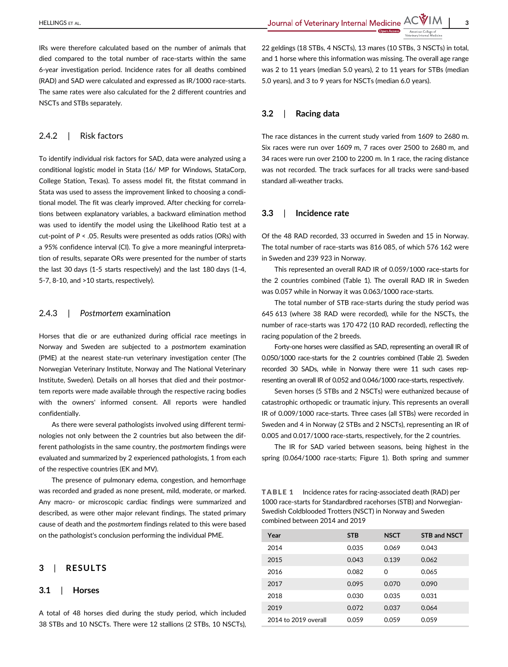IRs were therefore calculated based on the number of animals that died compared to the total number of race-starts within the same 6-year investigation period. Incidence rates for all deaths combined (RAD) and SAD were calculated and expressed as IR/1000 race-starts. The same rates were also calculated for the 2 different countries and NSCTs and STBs separately.

## 2.4.2 | Risk factors

To identify individual risk factors for SAD, data were analyzed using a conditional logistic model in Stata (16/ MP for Windows, StataCorp, College Station, Texas). To assess model fit, the fitstat command in Stata was used to assess the improvement linked to choosing a conditional model. The fit was clearly improved. After checking for correlations between explanatory variables, a backward elimination method was used to identify the model using the Likelihood Ratio test at a cut-point of  $P < .05$ . Results were presented as odds ratios (ORs) with a 95% confidence interval (CI). To give a more meaningful interpretation of results, separate ORs were presented for the number of starts the last 30 days (1-5 starts respectively) and the last 180 days (1-4, 5-7, 8-10, and >10 starts, respectively).

## 2.4.3 | Postmortem examination

Horses that die or are euthanized during official race meetings in Norway and Sweden are subjected to a postmortem examination (PME) at the nearest state-run veterinary investigation center (The Norwegian Veterinary Institute, Norway and The National Veterinary Institute, Sweden). Details on all horses that died and their postmortem reports were made available through the respective racing bodies with the owners' informed consent. All reports were handled confidentially.

As there were several pathologists involved using different terminologies not only between the 2 countries but also between the different pathologists in the same country, the postmortem findings were evaluated and summarized by 2 experienced pathologists, 1 from each of the respective countries (EK and MV).

The presence of pulmonary edema, congestion, and hemorrhage was recorded and graded as none present, mild, moderate, or marked. Any macro- or microscopic cardiac findings were summarized and described, as were other major relevant findings. The stated primary cause of death and the postmortem findings related to this were based on the pathologist's conclusion performing the individual PME.

# 3 | RESULTS

#### 3.1 | Horses

A total of 48 horses died during the study period, which included 38 STBs and 10 NSCTs. There were 12 stallions (2 STBs, 10 NSCTs), 22 geldings (18 STBs, 4 NSCTs), 13 mares (10 STBs, 3 NSCTs) in total, and 1 horse where this information was missing. The overall age range was 2 to 11 years (median 5.0 years), 2 to 11 years for STBs (median 5.0 years), and 3 to 9 years for NSCTs (median 6.0 years).

# 3.2 | Racing data

The race distances in the current study varied from 1609 to 2680 m. Six races were run over 1609 m, 7 races over 2500 to 2680 m, and 34 races were run over 2100 to 2200 m. In 1 race, the racing distance was not recorded. The track surfaces for all tracks were sand-based standard all-weather tracks.

# 3.3 | Incidence rate

Of the 48 RAD recorded, 33 occurred in Sweden and 15 in Norway. The total number of race-starts was 816 085, of which 576 162 were in Sweden and 239 923 in Norway.

This represented an overall RAD IR of 0.059/1000 race-starts for the 2 countries combined (Table 1). The overall RAD IR in Sweden was 0.057 while in Norway it was 0.063/1000 race-starts.

The total number of STB race-starts during the study period was 645 613 (where 38 RAD were recorded), while for the NSCTs, the number of race-starts was 170 472 (10 RAD recorded), reflecting the racing population of the 2 breeds.

Forty-one horses were classified as SAD, representing an overall IR of 0.050/1000 race-starts for the 2 countries combined (Table 2). Sweden recorded 30 SADs, while in Norway there were 11 such cases representing an overall IR of 0.052 and 0.046/1000 race-starts, respectively.

Seven horses (5 STBs and 2 NSCTs) were euthanized because of catastrophic orthopedic or traumatic injury. This represents an overall IR of 0.009/1000 race-starts. Three cases (all STBs) were recorded in Sweden and 4 in Norway (2 STBs and 2 NSCTs), representing an IR of 0.005 and 0.017/1000 race-starts, respectively, for the 2 countries.

The IR for SAD varied between seasons, being highest in the spring (0.064/1000 race-starts; Figure 1). Both spring and summer

TABLE 1 Incidence rates for racing-associated death (RAD) per 1000 race-starts for Standardbred racehorses (STB) and Norwegian-Swedish Coldblooded Trotters (NSCT) in Norway and Sweden combined between 2014 and 2019

| Year                 | <b>STB</b> | <b>NSCT</b> | <b>STB and NSCT</b> |
|----------------------|------------|-------------|---------------------|
| 2014                 | 0.035      | 0.069       | 0.043               |
| 2015                 | 0.043      | 0.139       | 0.062               |
| 2016                 | 0.082      | $\Omega$    | 0.065               |
| 2017                 | 0.095      | 0.070       | 0.090               |
| 2018                 | 0.030      | 0.035       | 0.031               |
| 2019                 | 0.072      | 0.037       | 0.064               |
| 2014 to 2019 overall | 0.059      | 0.059       | 0.059               |
|                      |            |             |                     |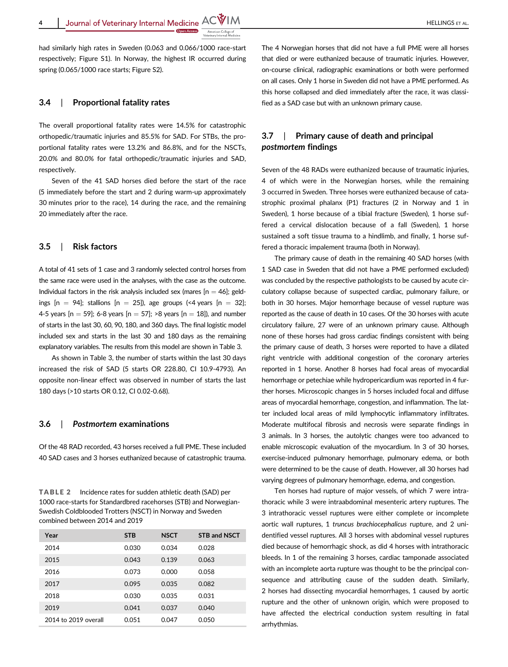Journal of Veterinary Internal Medicine  $ACWIM$ 

had similarly high rates in Sweden (0.063 and 0.066/1000 race-start respectively; Figure S1). In Norway, the highest IR occurred during spring (0.065/1000 race starts; Figure S2).

# 3.4 | Proportional fatality rates

The overall proportional fatality rates were 14.5% for catastrophic orthopedic/traumatic injuries and 85.5% for SAD. For STBs, the proportional fatality rates were 13.2% and 86.8%, and for the NSCTs, 20.0% and 80.0% for fatal orthopedic/traumatic injuries and SAD, respectively.

Seven of the 41 SAD horses died before the start of the race (5 immediately before the start and 2 during warm-up approximately 30 minutes prior to the race), 14 during the race, and the remaining 20 immediately after the race.

#### 3.5 | Risk factors

A total of 41 sets of 1 case and 3 randomly selected control horses from the same race were used in the analyses, with the case as the outcome. Individual factors in the risk analysis included sex (mares  $[n = 46]$ ; geldings  $[n = 94]$ ; stallions  $[n = 25]$ ), age groups (<4 years  $[n = 32]$ ; 4-5 years  $[n = 59]$ ; 6-8 years  $[n = 57]$ ; >8 years  $[n = 18]$ ), and number of starts in the last 30, 60, 90, 180, and 360 days. The final logistic model included sex and starts in the last 30 and 180 days as the remaining explanatory variables. The results from this model are shown in Table 3.

As shown in Table 3, the number of starts within the last 30 days increased the risk of SAD (5 starts OR 228.80, CI 10.9-4793). An opposite non-linear effect was observed in number of starts the last 180 days (>10 starts OR 0.12, CI 0.02-0.68).

#### 3.6 | Postmortem examinations

Of the 48 RAD recorded, 43 horses received a full PME. These included 40 SAD cases and 3 horses euthanized because of catastrophic trauma.

TABLE 2 Incidence rates for sudden athletic death (SAD) per 1000 race-starts for Standardbred racehorses (STB) and Norwegian-Swedish Coldblooded Trotters (NSCT) in Norway and Sweden combined between 2014 and 2019

| Year                 | <b>STB</b> | <b>NSCT</b> | <b>STB and NSCT</b> |
|----------------------|------------|-------------|---------------------|
| 2014                 | 0.030      | 0.034       | 0.028               |
| 2015                 | 0.043      | 0.139       | 0.063               |
| 2016                 | 0.073      | 0.000       | 0.058               |
| 2017                 | 0.095      | 0.035       | 0.082               |
| 2018                 | 0.030      | 0.035       | 0.031               |
| 2019                 | 0.041      | 0.037       | 0.040               |
| 2014 to 2019 overall | 0.051      | 0.047       | 0.050               |

The 4 Norwegian horses that did not have a full PME were all horses that died or were euthanized because of traumatic injuries. However, on-course clinical, radiographic examinations or both were performed on all cases. Only 1 horse in Sweden did not have a PME performed. As this horse collapsed and died immediately after the race, it was classified as a SAD case but with an unknown primary cause.

# 3.7 | Primary cause of death and principal postmortem findings

Seven of the 48 RADs were euthanized because of traumatic injuries, 4 of which were in the Norwegian horses, while the remaining 3 occurred in Sweden. Three horses were euthanized because of catastrophic proximal phalanx (P1) fractures (2 in Norway and 1 in Sweden), 1 horse because of a tibial fracture (Sweden), 1 horse suffered a cervical dislocation because of a fall (Sweden), 1 horse sustained a soft tissue trauma to a hindlimb, and finally, 1 horse suffered a thoracic impalement trauma (both in Norway).

The primary cause of death in the remaining 40 SAD horses (with 1 SAD case in Sweden that did not have a PME performed excluded) was concluded by the respective pathologists to be caused by acute circulatory collapse because of suspected cardiac, pulmonary failure, or both in 30 horses. Major hemorrhage because of vessel rupture was reported as the cause of death in 10 cases. Of the 30 horses with acute circulatory failure, 27 were of an unknown primary cause. Although none of these horses had gross cardiac findings consistent with being the primary cause of death, 3 horses were reported to have a dilated right ventricle with additional congestion of the coronary arteries reported in 1 horse. Another 8 horses had focal areas of myocardial hemorrhage or petechiae while hydropericardium was reported in 4 further horses. Microscopic changes in 5 horses included focal and diffuse areas of myocardial hemorrhage, congestion, and inflammation. The latter included local areas of mild lymphocytic inflammatory infiltrates. Moderate multifocal fibrosis and necrosis were separate findings in 3 animals. In 3 horses, the autolytic changes were too advanced to enable microscopic evaluation of the myocardium. In 3 of 30 horses, exercise-induced pulmonary hemorrhage, pulmonary edema, or both were determined to be the cause of death. However, all 30 horses had varying degrees of pulmonary hemorrhage, edema, and congestion.

Ten horses had rupture of major vessels, of which 7 were intrathoracic while 3 were intraabdominal mesenteric artery ruptures. The 3 intrathoracic vessel ruptures were either complete or incomplete aortic wall ruptures, 1 truncus brachiocephalicus rupture, and 2 unidentified vessel ruptures. All 3 horses with abdominal vessel ruptures died because of hemorrhagic shock, as did 4 horses with intrathoracic bleeds. In 1 of the remaining 3 horses, cardiac tamponade associated with an incomplete aorta rupture was thought to be the principal consequence and attributing cause of the sudden death. Similarly, 2 horses had dissecting myocardial hemorrhages, 1 caused by aortic rupture and the other of unknown origin, which were proposed to have affected the electrical conduction system resulting in fatal arrhythmias.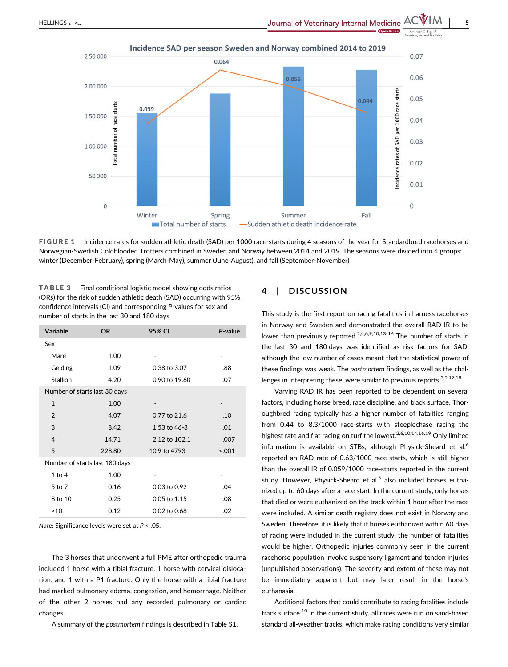

Incidence SAD per season Sweden and Norway combined 2014 to 2019

FIGURE 1 Incidence rates for sudden athletic death (SAD) per 1000 race-starts during 4 seasons of the year for Standardbred racehorses and Norwegian-Swedish Coldblooded Trotters combined in Sweden and Norway between 2014 and 2019. The seasons were divided into 4 groups: winter (December-February), spring (March-May), summer (June-August), and fall (September-November)

TABLE 3 Final conditional logistic model showing odds ratios (ORs) for the risk of sudden athletic death (SAD) occurring with 95% confidence intervals (CI) and corresponding P-values for sex and number of starts in the last 30 and 180 days

| Variable                       | <b>OR</b> | 95% CI         | P-value |  |  |  |
|--------------------------------|-----------|----------------|---------|--|--|--|
| Sex                            |           |                |         |  |  |  |
| Mare                           | 1.00      |                |         |  |  |  |
| Gelding                        | 1.09      | 0.38 to 3.07   | .88     |  |  |  |
| <b>Stallion</b>                | 4.20      | 0.90 to 19.60  | .07     |  |  |  |
| Number of starts last 30 days  |           |                |         |  |  |  |
| $\mathbf{1}$                   | 1.00      |                |         |  |  |  |
| $\overline{2}$                 | 4.07      | 0.77 to 21.6   | .10     |  |  |  |
| 3                              | 8.42      | 1.53 to $46-3$ | .01     |  |  |  |
| $\overline{4}$                 | 14.71     | 2.12 to 102.1  | .007    |  |  |  |
| 5                              | 228.80    | 10.9 to 4793   | < 0.001 |  |  |  |
| Number of starts last 180 days |           |                |         |  |  |  |
| $1$ to $4$                     | 1.00      |                |         |  |  |  |
| 5 to 7                         | 0.16      | 0.03 to 0.92   | .04     |  |  |  |
| 8 to 10                        | 0.25      | $0.05$ to 1.15 | .08     |  |  |  |
| >10                            | 0.12      | 0.02 to 0.68   | .02     |  |  |  |

Note: Significance levels were set at P < .05.

The 3 horses that underwent a full PME after orthopedic trauma included 1 horse with a tibial fracture, 1 horse with cervical dislocation, and 1 with a P1 fracture. Only the horse with a tibial fracture had marked pulmonary edema, congestion, and hemorrhage. Neither of the other 2 horses had any recorded pulmonary or cardiac changes.

A summary of the postmortem findings is described in Table S1.

# 4 | DISCUSSION

This study is the first report on racing fatalities in harness racehorses in Norway and Sweden and demonstrated the overall RAD IR to be lower than previously reported.<sup>2,4,6,9,10,13-16</sup> The number of starts in the last 30 and 180 days was identified as risk factors for SAD, although the low number of cases meant that the statistical power of these findings was weak. The postmortem findings, as well as the challenges in interpreting these, were similar to previous reports.<sup>3,9,17,18</sup>

Varying RAD IR has been reported to be dependent on several factors, including horse breed, race discipline, and track surface. Thoroughbred racing typically has a higher number of fatalities ranging from 0.44 to 8.3/1000 race-starts with steeplechase racing the highest rate and flat racing on turf the lowest.<sup>2,6,10,14,16,19</sup> Only limited information is available on STBs, although Physick-Sheard et al.<sup>6</sup> reported an RAD rate of 0.63/1000 race-starts, which is still higher than the overall IR of 0.059/1000 race-starts reported in the current study. However, Physick-Sheard et al. $<sup>6</sup>$  also included horses eutha-</sup> nized up to 60 days after a race start. In the current study, only horses that died or were euthanized on the track within 1 hour after the race were included. A similar death registry does not exist in Norway and Sweden. Therefore, it is likely that if horses euthanized within 60 days of racing were included in the current study, the number of fatalities would be higher. Orthopedic injuries commonly seen in the current racehorse population involve suspensory ligament and tendon injuries (unpublished observations). The severity and extent of these may not be immediately apparent but may later result in the horse's euthanasia.

Additional factors that could contribute to racing fatalities include track surface.<sup>10</sup> In the current study, all races were run on sand-based standard all-weather tracks, which make racing conditions very similar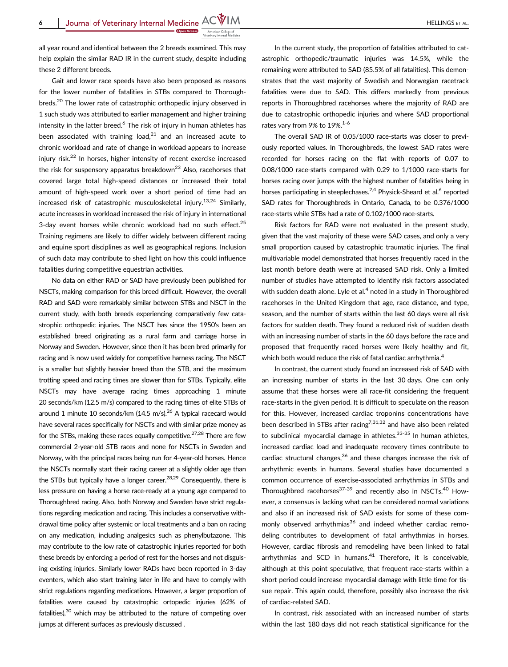all year round and identical between the 2 breeds examined. This may help explain the similar RAD IR in the current study, despite including these 2 different breeds.

Gait and lower race speeds have also been proposed as reasons for the lower number of fatalities in STBs compared to Thoroughbreds.<sup>20</sup> The lower rate of catastrophic orthopedic injury observed in 1 such study was attributed to earlier management and higher training intensity in the latter breed.<sup>6</sup> The risk of injury in human athletes has been associated with training load. $21$  and an increased acute to chronic workload and rate of change in workload appears to increase injury risk.22 In horses, higher intensity of recent exercise increased the risk for suspensory apparatus breakdown $^{23}$  Also, racehorses that covered large total high-speed distances or increased their total amount of high-speed work over a short period of time had an increased risk of catastrophic musculoskeletal injury.<sup>13,24</sup> Similarly, acute increases in workload increased the risk of injury in international 3-day event horses while chronic workload had no such effect.<sup>25</sup> Training regimens are likely to differ widely between different racing and equine sport disciplines as well as geographical regions. Inclusion of such data may contribute to shed light on how this could influence fatalities during competitive equestrian activities.

No data on either RAD or SAD have previously been published for NSCTs, making comparison for this breed difficult. However, the overall RAD and SAD were remarkably similar between STBs and NSCT in the current study, with both breeds experiencing comparatively few catastrophic orthopedic injuries. The NSCT has since the 1950's been an established breed originating as a rural farm and carriage horse in Norway and Sweden. However, since then it has been bred primarily for racing and is now used widely for competitive harness racing. The NSCT is a smaller but slightly heavier breed than the STB, and the maximum trotting speed and racing times are slower than for STBs. Typically, elite NSCTs may have average racing times approaching 1 minute 20 seconds/km (12.5 m/s) compared to the racing times of elite STBs of around 1 minute 10 seconds/km  $(14.5 \text{ m/s})^{26}$  A typical racecard would have several races specifically for NSCTs and with similar prize money as for the STBs, making these races equally competitive. $27,28$  There are few commercial 2-year-old STB races and none for NSCTs in Sweden and Norway, with the principal races being run for 4-year-old horses. Hence the NSCTs normally start their racing career at a slightly older age than the STBs but typically have a longer career.<sup>28,29</sup> Consequently, there is less pressure on having a horse race-ready at a young age compared to Thoroughbred racing. Also, both Norway and Sweden have strict regulations regarding medication and racing. This includes a conservative withdrawal time policy after systemic or local treatments and a ban on racing on any medication, including analgesics such as phenylbutazone. This may contribute to the low rate of catastrophic injuries reported for both these breeds by enforcing a period of rest for the horses and not disguising existing injuries. Similarly lower RADs have been reported in 3-day eventers, which also start training later in life and have to comply with strict regulations regarding medications. However, a larger proportion of fatalities were caused by catastrophic ortopedic injuries (62% of fatalities), $30$  which may be attributed to the nature of competing over jumps at different surfaces as previously discussed .

In the current study, the proportion of fatalities attributed to catastrophic orthopedic/traumatic injuries was 14.5%, while the remaining were attributed to SAD (85.5% of all fatalities). This demonstrates that the vast majority of Swedish and Norwegian racetrack fatalities were due to SAD. This differs markedly from previous reports in Thoroughbred racehorses where the majority of RAD are due to catastrophic orthopedic injuries and where SAD proportional rates vary from 9% to 19%.<sup>1-6</sup>

The overall SAD IR of 0.05/1000 race-starts was closer to previously reported values. In Thoroughbreds, the lowest SAD rates were recorded for horses racing on the flat with reports of 0.07 to 0.08/1000 race-starts compared with 0.29 to 1/1000 race-starts for horses racing over jumps with the highest number of fatalities being in horses participating in steeplechases.<sup>2,4</sup> Physick-Sheard et al.<sup>6</sup> reported SAD rates for Thoroughbreds in Ontario, Canada, to be 0.376/1000 race-starts while STBs had a rate of 0.102/1000 race-starts.

Risk factors for RAD were not evaluated in the present study, given that the vast majority of these were SAD cases, and only a very small proportion caused by catastrophic traumatic injuries. The final multivariable model demonstrated that horses frequently raced in the last month before death were at increased SAD risk. Only a limited number of studies have attempted to identify risk factors associated with sudden death alone. Lyle et al.<sup>4</sup> noted in a study in Thoroughbred racehorses in the United Kingdom that age, race distance, and type, season, and the number of starts within the last 60 days were all risk factors for sudden death. They found a reduced risk of sudden death with an increasing number of starts in the 60 days before the race and proposed that frequently raced horses were likely healthy and fit, which both would reduce the risk of fatal cardiac arrhythmia.<sup>4</sup>

In contrast, the current study found an increased risk of SAD with an increasing number of starts in the last 30 days. One can only assume that these horses were all race-fit considering the frequent race-starts in the given period. It is difficult to speculate on the reason for this. However, increased cardiac troponins concentrations have been described in STBs after racing<sup>7,31,32</sup> and have also been related to subclinical myocardial damage in athletes. $33-35$  In human athletes, increased cardiac load and inadequate recovery times contribute to cardiac structural changes, $36$  and these changes increase the risk of arrhythmic events in humans. Several studies have documented a common occurrence of exercise-associated arrhythmias in STBs and Thoroughbred racehorses<sup>37-39</sup> and recently also in NSCTs.<sup>40</sup> However, a consensus is lacking what can be considered normal variations and also if an increased risk of SAD exists for some of these commonly observed arrhythmias<sup>36</sup> and indeed whether cardiac remodeling contributes to development of fatal arrhythmias in horses. However, cardiac fibrosis and remodeling have been linked to fatal arrhythmias and SCD in humans. $41$  Therefore, it is conceivable, although at this point speculative, that frequent race-starts within a short period could increase myocardial damage with little time for tissue repair. This again could, therefore, possibly also increase the risk of cardiac-related SAD.

In contrast, risk associated with an increased number of starts within the last 180 days did not reach statistical significance for the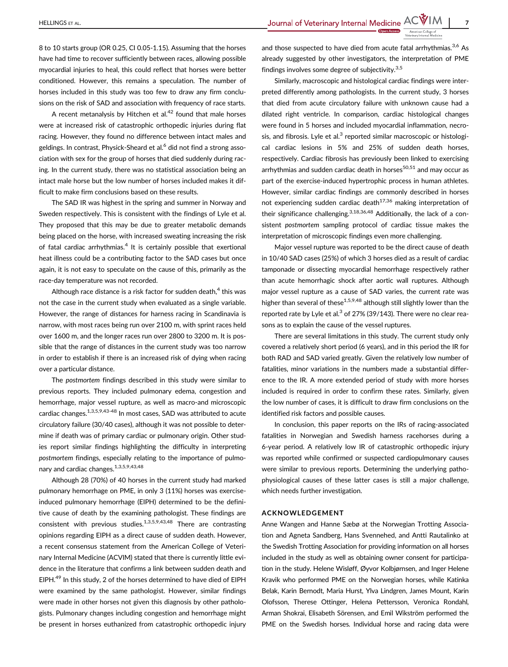8 to 10 starts group (OR 0.25, CI 0.05-1.15). Assuming that the horses have had time to recover sufficiently between races, allowing possible myocardial injuries to heal, this could reflect that horses were better conditioned. However, this remains a speculation. The number of horses included in this study was too few to draw any firm conclusions on the risk of SAD and association with frequency of race starts.

A recent metanalysis by Hitchen et  $al.^{42}$  found that male horses were at increased risk of catastrophic orthopedic injuries during flat racing. However, they found no difference between intact males and geldings. In contrast, Physick-Sheard et al.<sup>6</sup> did not find a strong association with sex for the group of horses that died suddenly during racing. In the current study, there was no statistical association being an intact male horse but the low number of horses included makes it difficult to make firm conclusions based on these results.

The SAD IR was highest in the spring and summer in Norway and Sweden respectively. This is consistent with the findings of Lyle et al. They proposed that this may be due to greater metabolic demands being placed on the horse, with increased sweating increasing the risk of fatal cardiac arrhythmias. $4$  It is certainly possible that exertional heat illness could be a contributing factor to the SAD cases but once again, it is not easy to speculate on the cause of this, primarily as the race-day temperature was not recorded.

Although race distance is a risk factor for sudden death, $4$  this was not the case in the current study when evaluated as a single variable. However, the range of distances for harness racing in Scandinavia is narrow, with most races being run over 2100 m, with sprint races held over 1600 m, and the longer races run over 2800 to 3200 m. It is possible that the range of distances in the current study was too narrow in order to establish if there is an increased risk of dying when racing over a particular distance.

The postmortem findings described in this study were similar to previous reports. They included pulmonary edema, congestion and hemorrhage, major vessel rupture, as well as macro-and microscopic cardiac changes.<sup>1,3,5,9,43-48</sup> In most cases, SAD was attributed to acute circulatory failure (30/40 cases), although it was not possible to determine if death was of primary cardiac or pulmonary origin. Other studies report similar findings highlighting the difficulty in interpreting postmortem findings, especially relating to the importance of pulmonary and cardiac changes.<sup>1,3,5,9,43,48</sup>

Although 28 (70%) of 40 horses in the current study had marked pulmonary hemorrhage on PME, in only 3 (11%) horses was exerciseinduced pulmonary hemorrhage (EIPH) determined to be the definitive cause of death by the examining pathologist. These findings are consistent with previous studies. $1,3,5,9,43,48$  There are contrasting opinions regarding EIPH as a direct cause of sudden death. However, a recent consensus statement from the American College of Veterinary Internal Medicine (ACVIM) stated that there is currently little evidence in the literature that confirms a link between sudden death and EIPH.<sup>49</sup> In this study, 2 of the horses determined to have died of EIPH were examined by the same pathologist. However, similar findings were made in other horses not given this diagnosis by other pathologists. Pulmonary changes including congestion and hemorrhage might be present in horses euthanized from catastrophic orthopedic injury

and those suspected to have died from acute fatal arrhythmias.<sup>3,6</sup> As already suggested by other investigators, the interpretation of PME findings involves some degree of subjectivity. $3,5$ 

Similarly, macroscopic and histological cardiac findings were interpreted differently among pathologists. In the current study, 3 horses that died from acute circulatory failure with unknown cause had a dilated right ventricle. In comparison, cardiac histological changes were found in 5 horses and included myocardial inflammation, necrosis, and fibrosis. Lyle et al. $3$  reported similar macroscopic or histological cardiac lesions in 5% and 25% of sudden death horses, respectively. Cardiac fibrosis has previously been linked to exercising arrhythmias and sudden cardiac death in horses $50,51$  and may occur as part of the exercise-induced hypertrophic process in human athletes. However, similar cardiac findings are commonly described in horses not experiencing sudden cardiac death<sup>17,36</sup> making interpretation of their significance challenging.<sup>3,18,36,48</sup> Additionally, the lack of a consistent postmortem sampling protocol of cardiac tissue makes the interpretation of microscopic findings even more challenging.

Major vessel rupture was reported to be the direct cause of death in 10/40 SAD cases (25%) of which 3 horses died as a result of cardiac tamponade or dissecting myocardial hemorrhage respectively rather than acute hemorrhagic shock after aortic wall ruptures. Although major vessel rupture as a cause of SAD varies, the current rate was higher than several of these<sup>1,5,9,48</sup> although still slightly lower than the reported rate by Lyle et al. $3$  of 27% (39/143). There were no clear reasons as to explain the cause of the vessel ruptures.

There are several limitations in this study. The current study only covered a relatively short period (6 years), and in this period the IR for both RAD and SAD varied greatly. Given the relatively low number of fatalities, minor variations in the numbers made a substantial difference to the IR. A more extended period of study with more horses included is required in order to confirm these rates. Similarly, given the low number of cases, it is difficult to draw firm conclusions on the identified risk factors and possible causes.

In conclusion, this paper reports on the IRs of racing-associated fatalities in Norwegian and Swedish harness racehorses during a 6-year period. A relatively low IR of catastrophic orthopedic injury was reported while confirmed or suspected cardiopulmonary causes were similar to previous reports. Determining the underlying pathophysiological causes of these latter cases is still a major challenge, which needs further investigation.

#### ACKNOWLEDGEMENT

Anne Wangen and Hanne Sæbø at the Norwegian Trotting Association and Agneta Sandberg, Hans Svennehed, and Antti Rautalinko at the Swedish Trotting Association for providing information on all horses included in the study as well as obtaining owner consent for participation in the study. Helene Wisløff, Øyvor Kolbjørnsen, and Inger Helene Kravik who performed PME on the Norwegian horses, while Katinka Belak, Karin Bernodt, Maria Hurst, Ylva Lindgren, James Mount, Karin Olofsson, Therese Ottinger, Helena Pettersson, Veronica Rondahl, Arman Shokrai, Elisabeth Sörensen, and Emil Wikström performed the PME on the Swedish horses. Individual horse and racing data were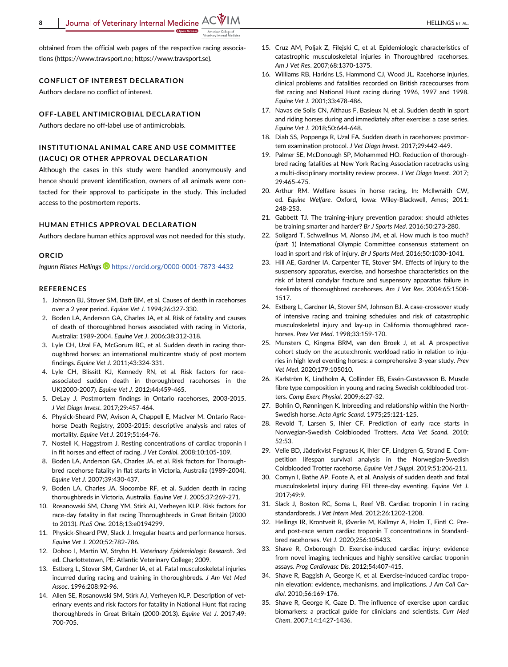

obtained from the official web pages of the respective racing associations [\(https://www.travsport.no;](https://www.travsport.no) [https://www.travsport.se](https://www.travsport.se/)).

## CONFLICT OF INTEREST DECLARATION

Authors declare no conflict of interest.

## OFF-LABEL ANTIMICROBIAL DECLARATION

Authors declare no off-label use of antimicrobials.

# INSTITUTIONAL ANIMAL CARE AND USE COMMITTEE (IACUC) OR OTHER APPROVAL DECLARATION

Although the cases in this study were handled anonymously and hence should prevent identification, owners of all animals were contacted for their approval to participate in the study. This included access to the postmortem reports.

## HUMAN ETHICS APPROVAL DECLARATION

Authors declare human ethics approval was not needed for this study.

#### **ORCID**

Ingunn Risnes Hellings <https://orcid.org/0000-0001-7873-4432>

#### REFERENCES

- 1. Johnson BJ, Stover SM, Daft BM, et al. Causes of death in racehorses over a 2 year period. Equine Vet J. 1994;26:327-330.
- 2. Boden LA, Anderson GA, Charles JA, et al. Risk of fatality and causes of death of thoroughbred horses associated with racing in Victoria, Australia: 1989-2004. Equine Vet J. 2006;38:312-318.
- 3. Lyle CH, Uzal FA, McGorum BC, et al. Sudden death in racing thoroughbred horses: an international multicentre study of post mortem findings. Equine Vet J. 2011;43:324-331.
- 4. Lyle CH, Blissitt KJ, Kennedy RN, et al. Risk factors for raceassociated sudden death in thoroughbred racehorses in the UK(2000-2007). Equine Vet J. 2012;44:459-465.
- 5. DeLay J. Postmortem findings in Ontario racehorses, 2003-2015. J Vet Diagn Invest. 2017;29:457-464.
- 6. Physick-Sheard PW, Avison A, Chappell E, MacIver M. Ontario Racehorse Death Registry, 2003-2015: descriptive analysis and rates of mortality. Equine Vet J. 2019;51:64-76.
- 7. Nostell K, Haggstrom J. Resting concentrations of cardiac troponin I in fit horses and effect of racing. J Vet Cardiol. 2008;10:105-109.
- 8. Boden LA, Anderson GA, Charles JA, et al. Risk factors for Thoroughbred racehorse fatality in flat starts in Victoria, Australia (1989-2004). Equine Vet J. 2007;39:430-437.
- 9. Boden LA, Charles JA, Slocombe RF, et al. Sudden death in racing thoroughbreds in Victoria, Australia. Equine Vet J. 2005;37:269-271.
- 10. Rosanowski SM, Chang YM, Stirk AJ, Verheyen KLP. Risk factors for race-day fatality in flat racing Thoroughbreds in Great Britain (2000 to 2013). PLoS One. 2018;13:e0194299.
- 11. Physick-Sheard PW, Slack J. Irregular hearts and performance horses. Equine Vet J. 2020;52:782-786.
- 12. Dohoo I, Martin W, Stryhn H. Veterinary Epidemiologic Research. 3rd ed. Charlottetown, PE: Atlantic Veterinary College; 2009.
- 13. Estberg L, Stover SM, Gardner IA, et al. Fatal musculoskeletal injuries incurred during racing and training in thoroughbreds. J Am Vet Med Assoc. 1996;208:92-96.
- 14. Allen SE, Rosanowski SM, Stirk AJ, Verheyen KLP. Description of veterinary events and risk factors for fatality in National Hunt flat racing thoroughbreds in Great Britain (2000-2013). Equine Vet J. 2017;49: 700-705.
- 15. Cruz AM, Poljak Z, Filejski C, et al. Epidemiologic characteristics of catastrophic musculoskeletal injuries in Thoroughbred racehorses. Am J Vet Res. 2007;68:1370-1375.
- 16. Williams RB, Harkins LS, Hammond CJ, Wood JL. Racehorse injuries, clinical problems and fatalities recorded on British racecourses from flat racing and National Hunt racing during 1996, 1997 and 1998. Equine Vet J. 2001;33:478-486.
- 17. Navas de Solis CN, Althaus F, Basieux N, et al. Sudden death in sport and riding horses during and immediately after exercise: a case series. Equine Vet J. 2018;50:644-648.
- 18. Diab SS, Poppenga R, Uzal FA. Sudden death in racehorses: postmortem examination protocol. J Vet Diagn Invest. 2017;29:442-449.
- 19. Palmer SE, McDonough SP, Mohammed HO. Reduction of thoroughbred racing fatalities at New York Racing Association racetracks using a multi-disciplinary mortality review process. J Vet Diagn Invest. 2017; 29:465-475.
- 20. Arthur RM. Welfare issues in horse racing. In: McIlwraith CW, ed. Equine Welfare. Oxford, Iowa: Wiley-Blackwell, Ames; 2011: 248-253.
- 21. Gabbett TJ. The training-injury prevention paradox: should athletes be training smarter and harder? Br J Sports Med. 2016;50:273-280.
- 22. Soligard T, Schwellnus M, Alonso JM, et al. How much is too much? (part 1) International Olympic Committee consensus statement on load in sport and risk of injury. Br J Sports Med. 2016;50:1030-1041.
- 23. Hill AE, Gardner IA, Carpenter TE, Stover SM. Effects of injury to the suspensory apparatus, exercise, and horseshoe characteristics on the risk of lateral condylar fracture and suspensory apparatus failure in forelimbs of thoroughbred racehorses. Am J Vet Res. 2004;65:1508- 1517.
- 24. Estberg L, Gardner IA, Stover SM, Johnson BJ. A case-crossover study of intensive racing and training schedules and risk of catastrophic musculoskeletal injury and lay-up in California thoroughbred racehorses. Prev Vet Med. 1998;33:159-170.
- 25. Munsters C, Kingma BRM, van den Broek J, et al. A prospective cohort study on the acute:chronic workload ratio in relation to injuries in high level eventing horses: a comprehensive 3-year study. Prev Vet Med. 2020;179:105010.
- 26. Karlström K, Lindholm A, Collinder EB, Essén-Gustavsson B. Muscle fibre type composition in young and racing Swedish coldblooded trotters. Comp Exerc Physiol. 2009;6:27-32.
- 27. Bohlin O, Rønningen K. Inbreeding and relationship within the North-Swedish horse. Acta Agric Scand. 1975;25:121-125.
- 28. Revold T, Larsen S, Ihler CF. Prediction of early race starts in Norwegian-Swedish Coldblooded Trotters. Acta Vet Scand. 2010; 52:53.
- 29. Velie BD, Jäderkvist Fegraeus K, Ihler CF, Lindgren G, Strand E. Competition lifespan survival analysis in the Norwegian-Swedish Coldblooded Trotter racehorse. Equine Vet J Suppl. 2019;51:206-211.
- 30. Comyn I, Bathe AP, Foote A, et al. Analysis of sudden death and fatal musculoskeletal injury during FEI three-day eventing. Equine Vet J. 2017;49:9.
- 31. Slack J, Boston RC, Soma L, Reef VB. Cardiac troponin I in racing standardbreds. J Vet Intern Med. 2012;26:1202-1208.
- 32. Hellings IR, Krontveit R, Øverlie M, Kallmyr A, Holm T, Fintl C. Preand post-race serum cardiac troponin T concentrations in Standardbred racehorses. Vet J. 2020;256:105433.
- 33. Shave R, Oxborough D. Exercise-induced cardiac injury: evidence from novel imaging techniques and highly sensitive cardiac troponin assays. Prog Cardiovasc Dis. 2012;54:407-415.
- 34. Shave R, Baggish A, George K, et al. Exercise-induced cardiac troponin elevation: evidence, mechanisms, and implications. J Am Coll Cardiol. 2010;56:169-176.
- 35. Shave R, George K, Gaze D. The influence of exercise upon cardiac biomarkers: a practical guide for clinicians and scientists. Curr Med Chem. 2007;14:1427-1436.